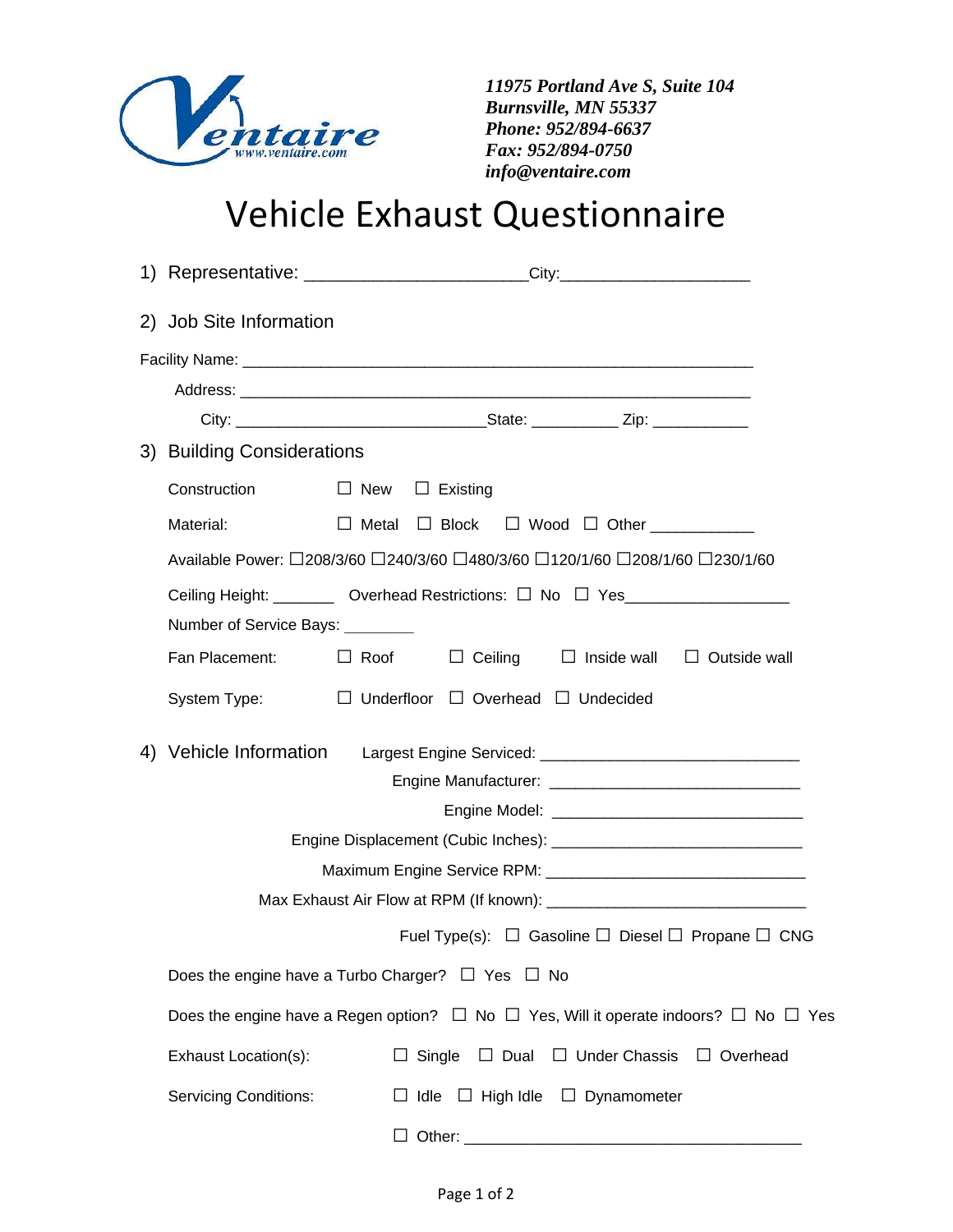

 *11975 Portland Ave S, Suite 104 Burnsville, MN 55337 Phone: 952/894-6637 Fax: 952/894-0750 info@ventaire.com*

## Vehicle Exhaust Questionnaire

|                              | 1) Representative: __________________________City:______________________________                         |
|------------------------------|----------------------------------------------------------------------------------------------------------|
| 2) Job Site Information      |                                                                                                          |
|                              |                                                                                                          |
|                              |                                                                                                          |
|                              |                                                                                                          |
| 3) Building Considerations   |                                                                                                          |
| Construction                 | $\Box$ New<br>$\Box$ Existing                                                                            |
| Material:                    | $\Box$ Metal $\Box$ Block<br>$\Box$ Wood $\Box$ Other                                                    |
|                              | Available Power: □208/3/60 □240/3/60 □480/3/60 □120/1/60 □208/1/60 □230/1/60                             |
|                              | Ceiling Height: _________ Overhead Restrictions: □ No □ Yes____________________                          |
| Number of Service Bays:      |                                                                                                          |
| Fan Placement:               | $\Box$ Roof<br>$\Box$ Ceiling<br>$\Box$ Inside wall $\Box$ Outside wall                                  |
| System Type:                 | $\Box$ Underfloor $\Box$ Overhead $\Box$ Undecided                                                       |
| Vehicle Information<br>4)    |                                                                                                          |
|                              |                                                                                                          |
|                              |                                                                                                          |
|                              |                                                                                                          |
|                              |                                                                                                          |
|                              |                                                                                                          |
|                              | Fuel Type(s): $\Box$ Gasoline $\Box$ Diesel $\Box$ Propane $\Box$ CNG                                    |
|                              | Does the engine have a Turbo Charger? $\Box$ Yes $\Box$ No                                               |
|                              | Does the engine have a Regen option? $\Box$ No $\Box$ Yes, Will it operate indoors? $\Box$ No $\Box$ Yes |
| Exhaust Location(s):         | $\Box$ Single<br>$\Box$ Dual<br>$\Box$ Under Chassis<br>$\Box$ Overhead                                  |
| <b>Servicing Conditions:</b> | $\Box$ Idle $\Box$ High Idle $\Box$ Dynamometer                                                          |
|                              |                                                                                                          |